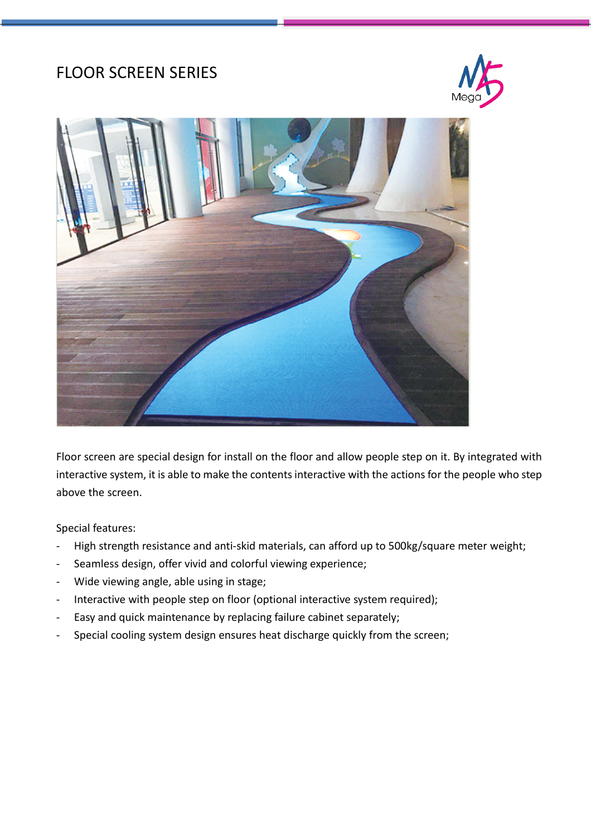## FLOOR SCREEN SERIES





Floor screen are special design for install on the floor and allow people step on it. By integrated with interactive system, it is able to make the contents interactive with the actions for the people who step above the screen.

Special features:

- High strength resistance and anti-skid materials, can afford up to 500kg/square meter weight;
- Seamless design, offer vivid and colorful viewing experience;
- Wide viewing angle, able using in stage;
- Interactive with people step on floor (optional interactive system required);
- Easy and quick maintenance by replacing failure cabinet separately;
- Special cooling system design ensures heat discharge quickly from the screen;